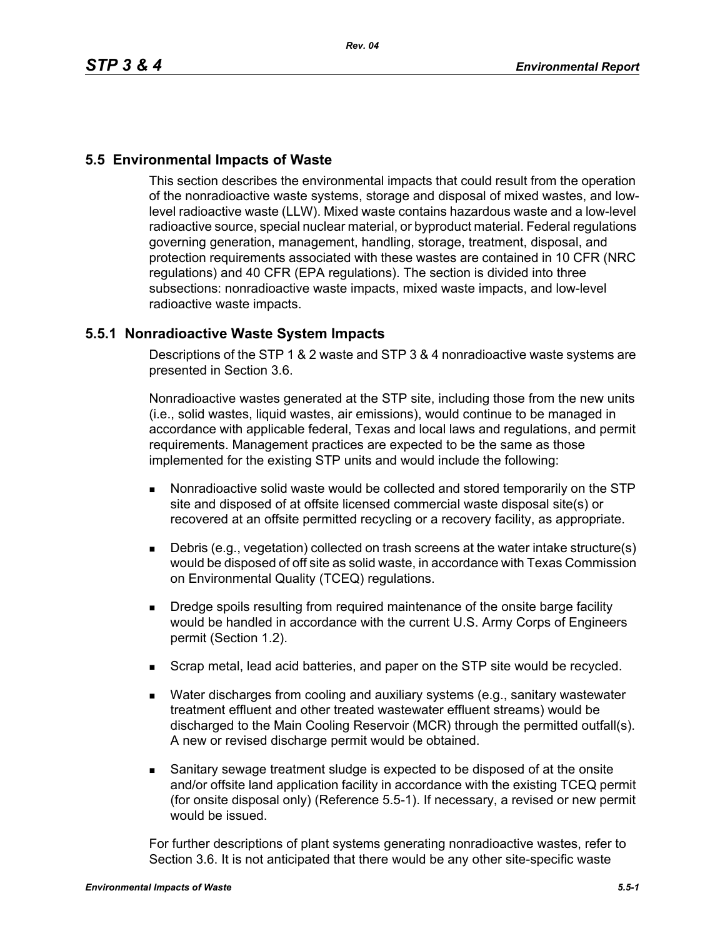# **5.5 Environmental Impacts of Waste**

This section describes the environmental impacts that could result from the operation of the nonradioactive waste systems, storage and disposal of mixed wastes, and lowlevel radioactive waste (LLW). Mixed waste contains hazardous waste and a low-level radioactive source, special nuclear material, or byproduct material. Federal regulations governing generation, management, handling, storage, treatment, disposal, and protection requirements associated with these wastes are contained in 10 CFR (NRC regulations) and 40 CFR (EPA regulations). The section is divided into three subsections: nonradioactive waste impacts, mixed waste impacts, and low-level radioactive waste impacts.

## **5.5.1 Nonradioactive Waste System Impacts**

Descriptions of the STP 1 & 2 waste and STP 3 & 4 nonradioactive waste systems are presented in Section 3.6.

Nonradioactive wastes generated at the STP site, including those from the new units (i.e., solid wastes, liquid wastes, air emissions), would continue to be managed in accordance with applicable federal, Texas and local laws and regulations, and permit requirements. Management practices are expected to be the same as those implemented for the existing STP units and would include the following:

- Nonradioactive solid waste would be collected and stored temporarily on the STP site and disposed of at offsite licensed commercial waste disposal site(s) or recovered at an offsite permitted recycling or a recovery facility, as appropriate.
- Debris (e.g., vegetation) collected on trash screens at the water intake structure(s) would be disposed of off site as solid waste, in accordance with Texas Commission on Environmental Quality (TCEQ) regulations.
- **Dredge spoils resulting from required maintenance of the onsite barge facility** would be handled in accordance with the current U.S. Army Corps of Engineers permit (Section 1.2).
- **Scrap metal, lead acid batteries, and paper on the STP site would be recycled.**
- Water discharges from cooling and auxiliary systems (e.g., sanitary wastewater treatment effluent and other treated wastewater effluent streams) would be discharged to the Main Cooling Reservoir (MCR) through the permitted outfall(s). A new or revised discharge permit would be obtained.
- Sanitary sewage treatment sludge is expected to be disposed of at the onsite and/or offsite land application facility in accordance with the existing TCEQ permit (for onsite disposal only) (Reference 5.5-1). If necessary, a revised or new permit would be issued.

For further descriptions of plant systems generating nonradioactive wastes, refer to Section 3.6. It is not anticipated that there would be any other site-specific waste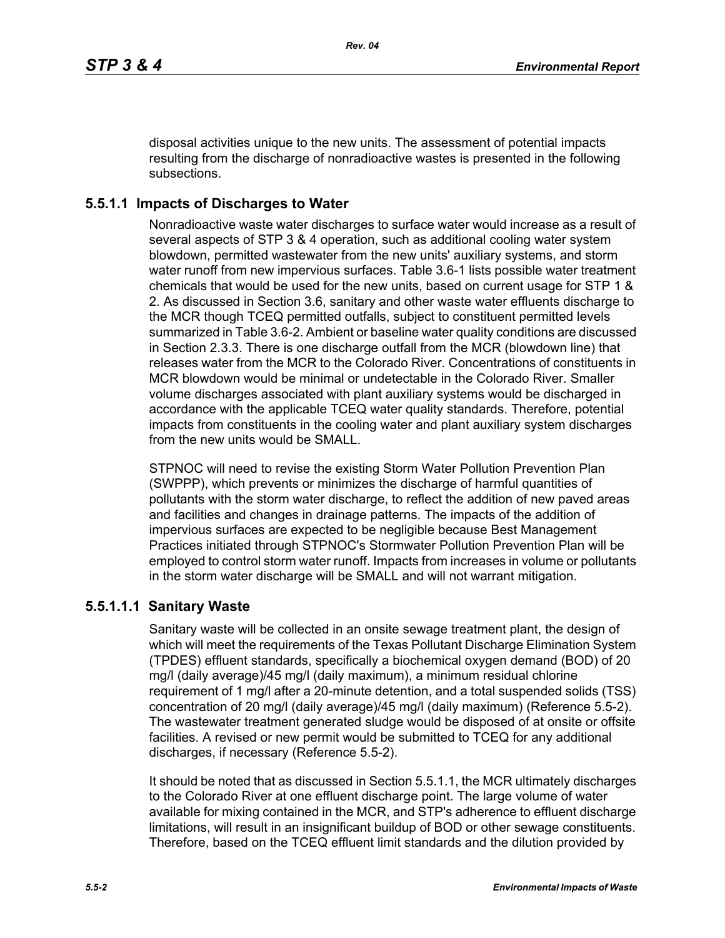disposal activities unique to the new units. The assessment of potential impacts resulting from the discharge of nonradioactive wastes is presented in the following subsections.

# **5.5.1.1 Impacts of Discharges to Water**

Nonradioactive waste water discharges to surface water would increase as a result of several aspects of STP 3 & 4 operation, such as additional cooling water system blowdown, permitted wastewater from the new units' auxiliary systems, and storm water runoff from new impervious surfaces. Table 3.6-1 lists possible water treatment chemicals that would be used for the new units, based on current usage for STP 1 & 2. As discussed in Section 3.6, sanitary and other waste water effluents discharge to the MCR though TCEQ permitted outfalls, subject to constituent permitted levels summarized in Table 3.6-2. Ambient or baseline water quality conditions are discussed in Section 2.3.3. There is one discharge outfall from the MCR (blowdown line) that releases water from the MCR to the Colorado River. Concentrations of constituents in MCR blowdown would be minimal or undetectable in the Colorado River. Smaller volume discharges associated with plant auxiliary systems would be discharged in accordance with the applicable TCEQ water quality standards. Therefore, potential impacts from constituents in the cooling water and plant auxiliary system discharges from the new units would be SMALL.

STPNOC will need to revise the existing Storm Water Pollution Prevention Plan (SWPPP), which prevents or minimizes the discharge of harmful quantities of pollutants with the storm water discharge, to reflect the addition of new paved areas and facilities and changes in drainage patterns. The impacts of the addition of impervious surfaces are expected to be negligible because Best Management Practices initiated through STPNOC's Stormwater Pollution Prevention Plan will be employed to control storm water runoff. Impacts from increases in volume or pollutants in the storm water discharge will be SMALL and will not warrant mitigation.

# **5.5.1.1.1 Sanitary Waste**

Sanitary waste will be collected in an onsite sewage treatment plant, the design of which will meet the requirements of the Texas Pollutant Discharge Elimination System (TPDES) effluent standards, specifically a biochemical oxygen demand (BOD) of 20 mg/l (daily average)/45 mg/l (daily maximum), a minimum residual chlorine requirement of 1 mg/l after a 20-minute detention, and a total suspended solids (TSS) concentration of 20 mg/l (daily average)/45 mg/l (daily maximum) (Reference 5.5-2). The wastewater treatment generated sludge would be disposed of at onsite or offsite facilities. A revised or new permit would be submitted to TCEQ for any additional discharges, if necessary (Reference 5.5-2).

It should be noted that as discussed in Section 5.5.1.1, the MCR ultimately discharges to the Colorado River at one effluent discharge point. The large volume of water available for mixing contained in the MCR, and STP's adherence to effluent discharge limitations, will result in an insignificant buildup of BOD or other sewage constituents. Therefore, based on the TCEQ effluent limit standards and the dilution provided by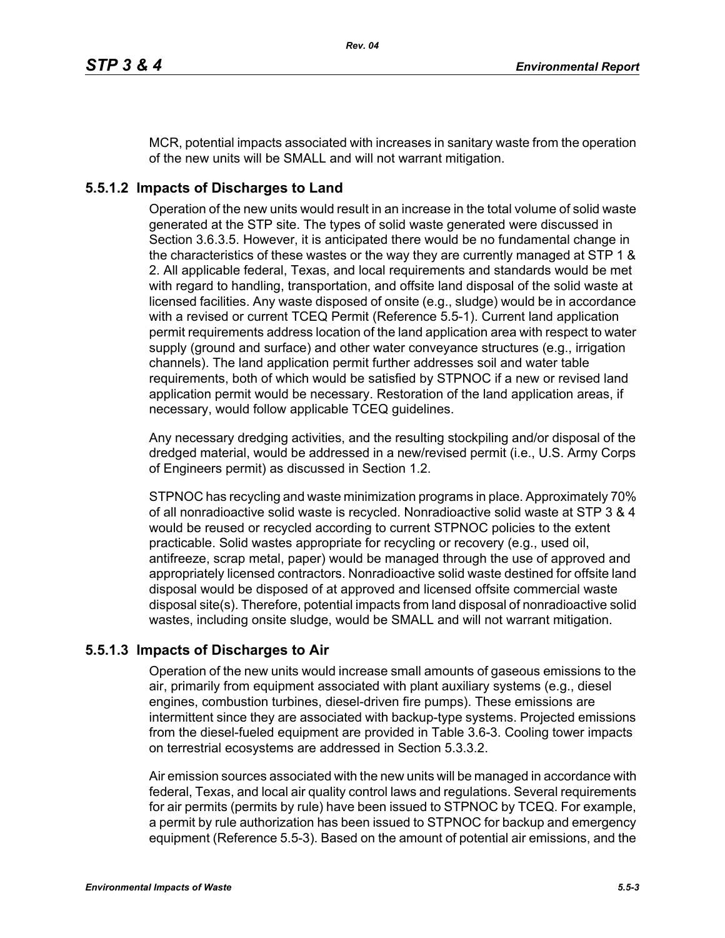MCR, potential impacts associated with increases in sanitary waste from the operation of the new units will be SMALL and will not warrant mitigation.

# **5.5.1.2 Impacts of Discharges to Land**

Operation of the new units would result in an increase in the total volume of solid waste generated at the STP site. The types of solid waste generated were discussed in Section 3.6.3.5. However, it is anticipated there would be no fundamental change in the characteristics of these wastes or the way they are currently managed at STP 1 & 2. All applicable federal, Texas, and local requirements and standards would be met with regard to handling, transportation, and offsite land disposal of the solid waste at licensed facilities. Any waste disposed of onsite (e.g., sludge) would be in accordance with a revised or current TCEQ Permit (Reference 5.5-1). Current land application permit requirements address location of the land application area with respect to water supply (ground and surface) and other water conveyance structures (e.g., irrigation channels). The land application permit further addresses soil and water table requirements, both of which would be satisfied by STPNOC if a new or revised land application permit would be necessary. Restoration of the land application areas, if necessary, would follow applicable TCEQ guidelines.

Any necessary dredging activities, and the resulting stockpiling and/or disposal of the dredged material, would be addressed in a new/revised permit (i.e., U.S. Army Corps of Engineers permit) as discussed in Section 1.2.

STPNOC has recycling and waste minimization programs in place. Approximately 70% of all nonradioactive solid waste is recycled. Nonradioactive solid waste at STP 3 & 4 would be reused or recycled according to current STPNOC policies to the extent practicable. Solid wastes appropriate for recycling or recovery (e.g., used oil, antifreeze, scrap metal, paper) would be managed through the use of approved and appropriately licensed contractors. Nonradioactive solid waste destined for offsite land disposal would be disposed of at approved and licensed offsite commercial waste disposal site(s). Therefore, potential impacts from land disposal of nonradioactive solid wastes, including onsite sludge, would be SMALL and will not warrant mitigation.

## **5.5.1.3 Impacts of Discharges to Air**

Operation of the new units would increase small amounts of gaseous emissions to the air, primarily from equipment associated with plant auxiliary systems (e.g., diesel engines, combustion turbines, diesel-driven fire pumps). These emissions are intermittent since they are associated with backup-type systems. Projected emissions from the diesel-fueled equipment are provided in Table 3.6-3. Cooling tower impacts on terrestrial ecosystems are addressed in Section 5.3.3.2.

Air emission sources associated with the new units will be managed in accordance with federal, Texas, and local air quality control laws and regulations. Several requirements for air permits (permits by rule) have been issued to STPNOC by TCEQ. For example, a permit by rule authorization has been issued to STPNOC for backup and emergency equipment (Reference 5.5-3). Based on the amount of potential air emissions, and the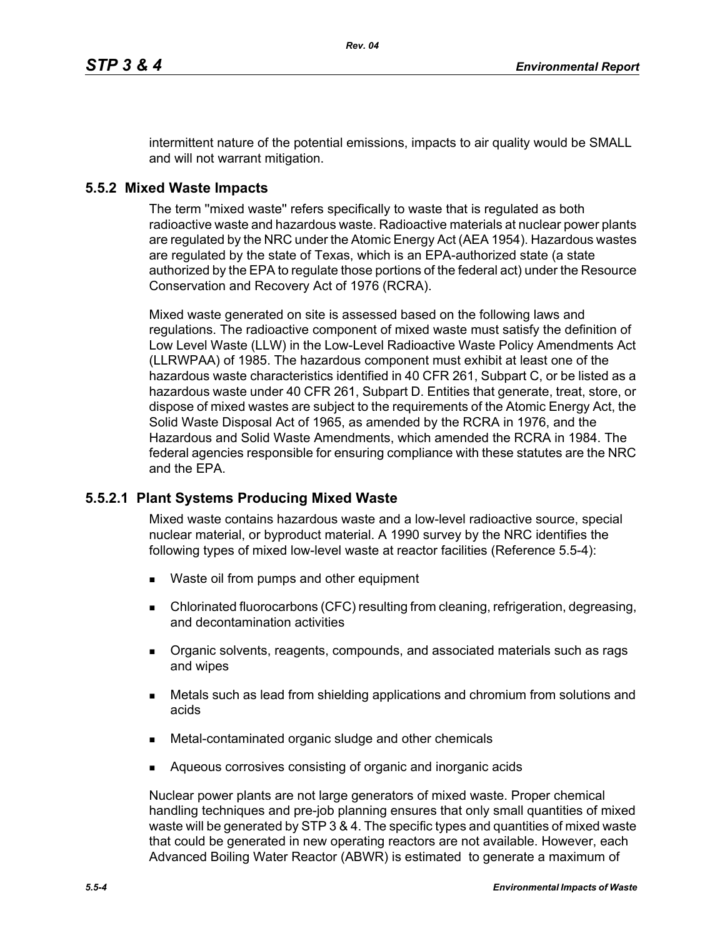intermittent nature of the potential emissions, impacts to air quality would be SMALL and will not warrant mitigation.

### **5.5.2 Mixed Waste Impacts**

The term ''mixed waste'' refers specifically to waste that is regulated as both radioactive waste and hazardous waste. Radioactive materials at nuclear power plants are regulated by the NRC under the Atomic Energy Act (AEA 1954). Hazardous wastes are regulated by the state of Texas, which is an EPA-authorized state (a state authorized by the EPA to regulate those portions of the federal act) under the Resource Conservation and Recovery Act of 1976 (RCRA).

Mixed waste generated on site is assessed based on the following laws and regulations. The radioactive component of mixed waste must satisfy the definition of Low Level Waste (LLW) in the Low-Level Radioactive Waste Policy Amendments Act (LLRWPAA) of 1985. The hazardous component must exhibit at least one of the hazardous waste characteristics identified in 40 CFR 261, Subpart C, or be listed as a hazardous waste under 40 CFR 261, Subpart D. Entities that generate, treat, store, or dispose of mixed wastes are subject to the requirements of the Atomic Energy Act, the Solid Waste Disposal Act of 1965, as amended by the RCRA in 1976, and the Hazardous and Solid Waste Amendments, which amended the RCRA in 1984. The federal agencies responsible for ensuring compliance with these statutes are the NRC and the EPA.

#### **5.5.2.1 Plant Systems Producing Mixed Waste**

Mixed waste contains hazardous waste and a low-level radioactive source, special nuclear material, or byproduct material. A 1990 survey by the NRC identifies the following types of mixed low-level waste at reactor facilities (Reference 5.5-4):

- **Naste oil from pumps and other equipment**
- Chlorinated fluorocarbons (CFC) resulting from cleaning, refrigeration, degreasing, and decontamination activities
- **Organic solvents, reagents, compounds, and associated materials such as rags** and wipes
- Metals such as lead from shielding applications and chromium from solutions and acids
- Metal-contaminated organic sludge and other chemicals
- **Aqueous corrosives consisting of organic and inorganic acids**

Nuclear power plants are not large generators of mixed waste. Proper chemical handling techniques and pre-job planning ensures that only small quantities of mixed waste will be generated by STP 3 & 4. The specific types and quantities of mixed waste that could be generated in new operating reactors are not available. However, each Advanced Boiling Water Reactor (ABWR) is estimated to generate a maximum of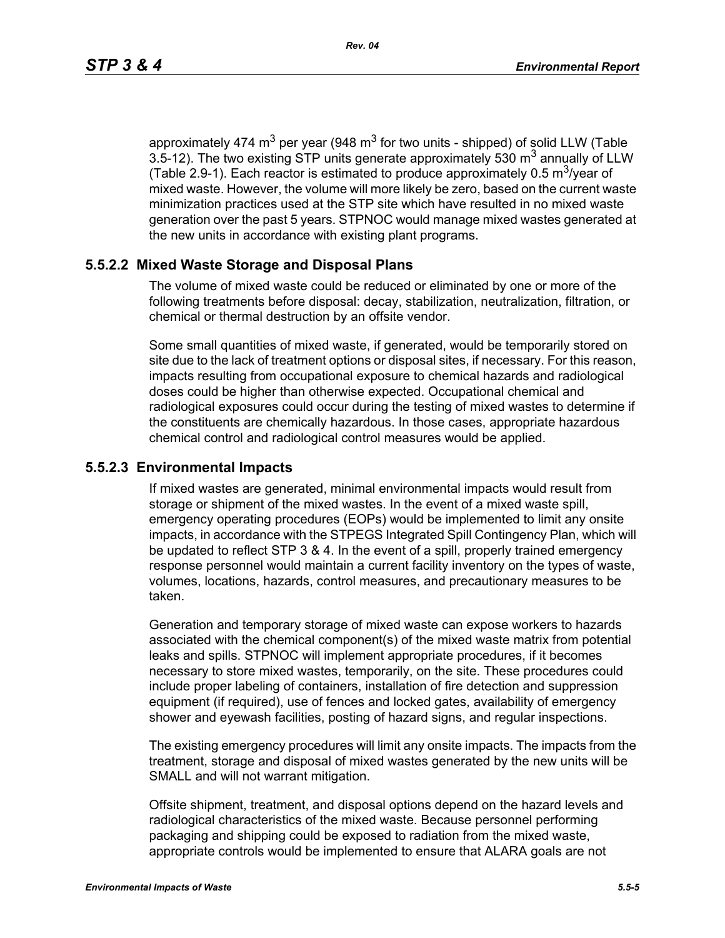approximately 474  $\text{m}^3$  per year (948  $\text{m}^3$  for two units - shipped) of solid LLW (Table 3.5-12). The two existing STP units generate approximately 530  $m<sup>3</sup>$  annually of LLW (Table 2.9-1). Each reactor is estimated to produce approximately 0.5  $\text{m}^3$ /year of mixed waste. However, the volume will more likely be zero, based on the current waste minimization practices used at the STP site which have resulted in no mixed waste generation over the past 5 years. STPNOC would manage mixed wastes generated at the new units in accordance with existing plant programs.

### **5.5.2.2 Mixed Waste Storage and Disposal Plans**

The volume of mixed waste could be reduced or eliminated by one or more of the following treatments before disposal: decay, stabilization, neutralization, filtration, or chemical or thermal destruction by an offsite vendor.

Some small quantities of mixed waste, if generated, would be temporarily stored on site due to the lack of treatment options or disposal sites, if necessary. For this reason, impacts resulting from occupational exposure to chemical hazards and radiological doses could be higher than otherwise expected. Occupational chemical and radiological exposures could occur during the testing of mixed wastes to determine if the constituents are chemically hazardous. In those cases, appropriate hazardous chemical control and radiological control measures would be applied.

#### **5.5.2.3 Environmental Impacts**

If mixed wastes are generated, minimal environmental impacts would result from storage or shipment of the mixed wastes. In the event of a mixed waste spill, emergency operating procedures (EOPs) would be implemented to limit any onsite impacts, in accordance with the STPEGS Integrated Spill Contingency Plan, which will be updated to reflect STP 3 & 4. In the event of a spill, properly trained emergency response personnel would maintain a current facility inventory on the types of waste, volumes, locations, hazards, control measures, and precautionary measures to be taken.

Generation and temporary storage of mixed waste can expose workers to hazards associated with the chemical component(s) of the mixed waste matrix from potential leaks and spills. STPNOC will implement appropriate procedures, if it becomes necessary to store mixed wastes, temporarily, on the site. These procedures could include proper labeling of containers, installation of fire detection and suppression equipment (if required), use of fences and locked gates, availability of emergency shower and eyewash facilities, posting of hazard signs, and regular inspections.

The existing emergency procedures will limit any onsite impacts. The impacts from the treatment, storage and disposal of mixed wastes generated by the new units will be SMALL and will not warrant mitigation.

Offsite shipment, treatment, and disposal options depend on the hazard levels and radiological characteristics of the mixed waste. Because personnel performing packaging and shipping could be exposed to radiation from the mixed waste, appropriate controls would be implemented to ensure that ALARA goals are not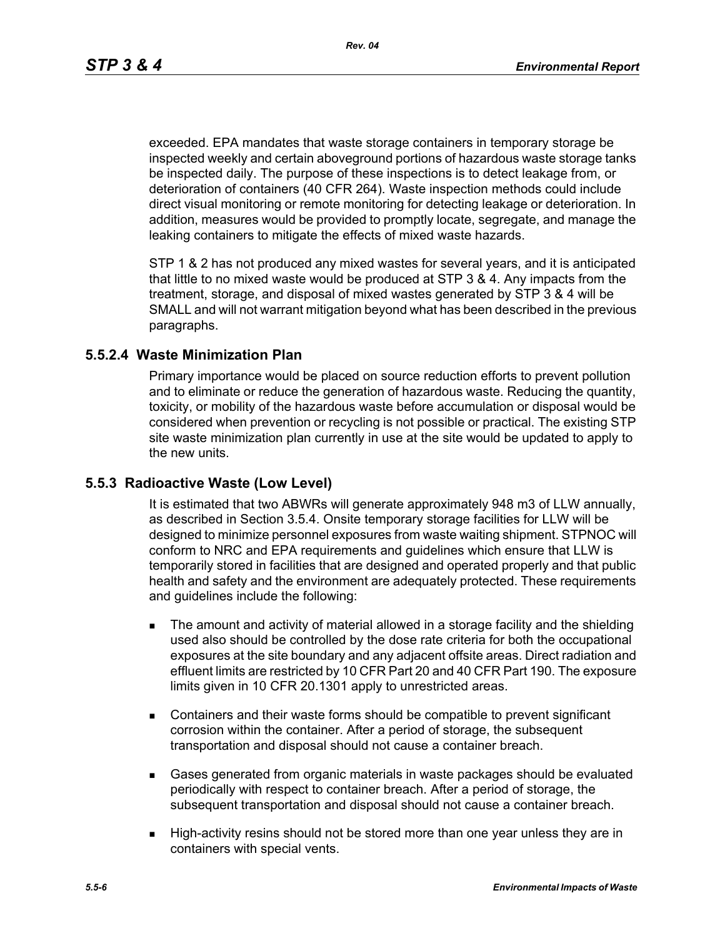*Rev. 04*

exceeded. EPA mandates that waste storage containers in temporary storage be inspected weekly and certain aboveground portions of hazardous waste storage tanks be inspected daily. The purpose of these inspections is to detect leakage from, or deterioration of containers (40 CFR 264). Waste inspection methods could include direct visual monitoring or remote monitoring for detecting leakage or deterioration. In addition, measures would be provided to promptly locate, segregate, and manage the leaking containers to mitigate the effects of mixed waste hazards.

STP 1 & 2 has not produced any mixed wastes for several years, and it is anticipated that little to no mixed waste would be produced at STP 3 & 4. Any impacts from the treatment, storage, and disposal of mixed wastes generated by STP 3 & 4 will be SMALL and will not warrant mitigation beyond what has been described in the previous paragraphs.

### **5.5.2.4 Waste Minimization Plan**

Primary importance would be placed on source reduction efforts to prevent pollution and to eliminate or reduce the generation of hazardous waste. Reducing the quantity, toxicity, or mobility of the hazardous waste before accumulation or disposal would be considered when prevention or recycling is not possible or practical. The existing STP site waste minimization plan currently in use at the site would be updated to apply to the new units.

## **5.5.3 Radioactive Waste (Low Level)**

It is estimated that two ABWRs will generate approximately 948 m3 of LLW annually, as described in Section 3.5.4. Onsite temporary storage facilities for LLW will be designed to minimize personnel exposures from waste waiting shipment. STPNOC will conform to NRC and EPA requirements and guidelines which ensure that LLW is temporarily stored in facilities that are designed and operated properly and that public health and safety and the environment are adequately protected. These requirements and guidelines include the following:

- The amount and activity of material allowed in a storage facility and the shielding used also should be controlled by the dose rate criteria for both the occupational exposures at the site boundary and any adjacent offsite areas. Direct radiation and effluent limits are restricted by 10 CFR Part 20 and 40 CFR Part 190. The exposure limits given in 10 CFR 20.1301 apply to unrestricted areas.
- **EXECONTER CONTER CONTER 15 IN A STARK IS CONTER** CONTERNATION **CONTERNATION** CONTERNATION CONTERNATION **CONTERNATION** corrosion within the container. After a period of storage, the subsequent transportation and disposal should not cause a container breach.
- Gases generated from organic materials in waste packages should be evaluated periodically with respect to container breach. After a period of storage, the subsequent transportation and disposal should not cause a container breach.
- High-activity resins should not be stored more than one year unless they are in containers with special vents.